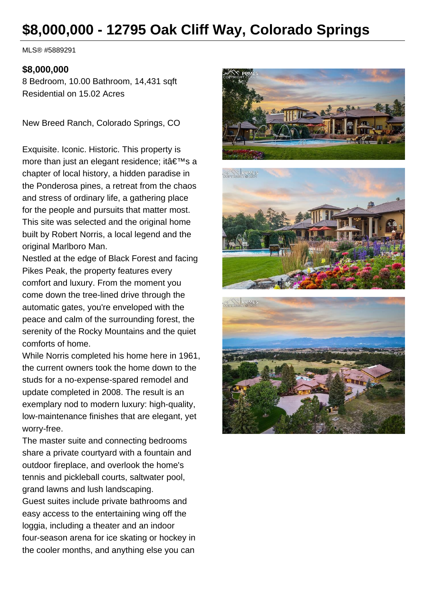# **\$8,000,000 - 12795 Oak Cliff Way, Colorado Springs**

MLS® #5889291

#### **\$8,000,000**

8 Bedroom, 10.00 Bathroom, 14,431 sqft Residential on 15.02 Acres

New Breed Ranch, Colorado Springs, CO

Exquisite. Iconic. Historic. This property is more than just an elegant residence; it  $a \in T^M$ s a chapter of local history, a hidden paradise in the Ponderosa pines, a retreat from the chaos and stress of ordinary life, a gathering place for the people and pursuits that matter most. This site was selected and the original home built by Robert Norris, a local legend and the original Marlboro Man.

Nestled at the edge of Black Forest and facing Pikes Peak, the property features every comfort and luxury. From the moment you come down the tree-lined drive through the automatic gates, you're enveloped with the peace and calm of the surrounding forest, the serenity of the Rocky Mountains and the quiet comforts of home.

While Norris completed his home here in 1961, the current owners took the home down to the studs for a no-expense-spared remodel and update completed in 2008. The result is an exemplary nod to modern luxury: high-quality, low-maintenance finishes that are elegant, yet worry-free.

The master suite and connecting bedrooms share a private courtyard with a fountain and outdoor fireplace, and overlook the home's tennis and pickleball courts, saltwater pool, grand lawns and lush landscaping. Guest suites include private bathrooms and easy access to the entertaining wing off the loggia, including a theater and an indoor four-season arena for ice skating or hockey in the cooler months, and anything else you can

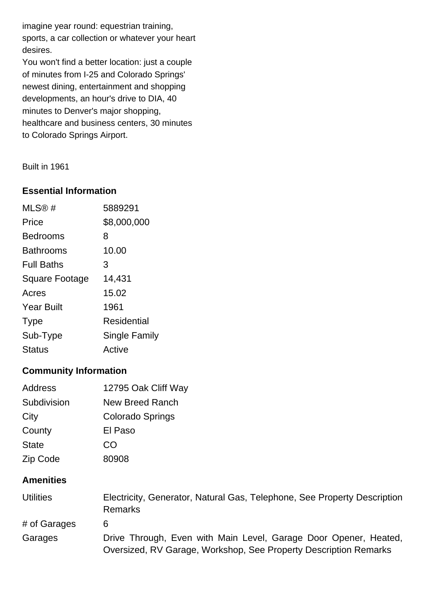imagine year round: equestrian training, sports, a car collection or whatever your heart desires.

You won't find a better location: just a couple of minutes from I-25 and Colorado Springs' newest dining, entertainment and shopping developments, an hour's drive to DIA, 40 minutes to Denver's major shopping, healthcare and business centers, 30 minutes to Colorado Springs Airport.

Built in 1961

### **Essential Information**

| MLS@#                 | 5889291       |
|-----------------------|---------------|
| Price                 | \$8,000,000   |
| Bedrooms              | 8             |
| <b>Bathrooms</b>      | 10.00         |
| <b>Full Baths</b>     | 3             |
| <b>Square Footage</b> | 14,431        |
| Acres                 | 15.02         |
| <b>Year Built</b>     | 1961          |
| <b>Type</b>           | Residential   |
| Sub-Type              | Single Family |
| Status                | Active        |

# **Community Information**

| Address      | 12795 Oak Cliff Way    |
|--------------|------------------------|
| Subdivision  | <b>New Breed Ranch</b> |
| City         | Colorado Springs       |
| County       | El Paso                |
| <b>State</b> | CO                     |
| Zip Code     | 80908                  |

# **Amenities**

| <b>Utilities</b> | Electricity, Generator, Natural Gas, Telephone, See Property Description<br><b>Remarks</b>                                           |
|------------------|--------------------------------------------------------------------------------------------------------------------------------------|
| # of Garages     | 6                                                                                                                                    |
| Garages          | Drive Through, Even with Main Level, Garage Door Opener, Heated,<br>Oversized, RV Garage, Workshop, See Property Description Remarks |